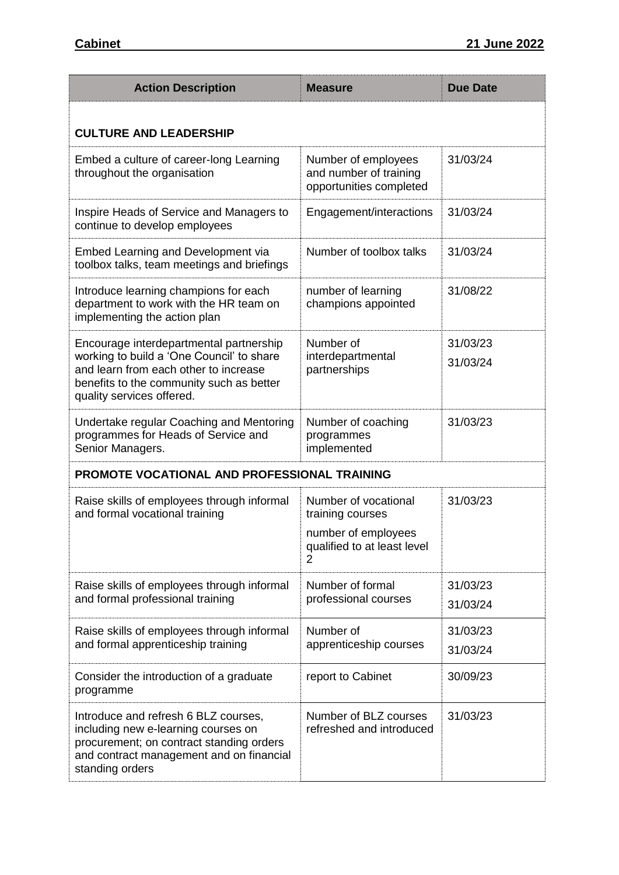| <b>Action Description</b>                                                                                                                                                                              | <b>Measure</b>                                                                                                   | <b>Due Date</b>      |  |
|--------------------------------------------------------------------------------------------------------------------------------------------------------------------------------------------------------|------------------------------------------------------------------------------------------------------------------|----------------------|--|
| <b>CULTURE AND LEADERSHIP</b>                                                                                                                                                                          |                                                                                                                  |                      |  |
| Embed a culture of career-long Learning<br>throughout the organisation                                                                                                                                 | Number of employees<br>and number of training<br>opportunities completed                                         | 31/03/24             |  |
| Inspire Heads of Service and Managers to<br>continue to develop employees                                                                                                                              | Engagement/interactions                                                                                          | 31/03/24             |  |
| <b>Embed Learning and Development via</b><br>toolbox talks, team meetings and briefings                                                                                                                | Number of toolbox talks                                                                                          | 31/03/24             |  |
| Introduce learning champions for each<br>department to work with the HR team on<br>implementing the action plan                                                                                        | number of learning<br>champions appointed                                                                        | 31/08/22             |  |
| Encourage interdepartmental partnership<br>working to build a 'One Council' to share<br>and learn from each other to increase<br>benefits to the community such as better<br>quality services offered. | Number of<br>interdepartmental<br>partnerships                                                                   | 31/03/23<br>31/03/24 |  |
| Undertake regular Coaching and Mentoring<br>programmes for Heads of Service and<br>Senior Managers.                                                                                                    | Number of coaching<br>programmes<br>implemented                                                                  | 31/03/23             |  |
| PROMOTE VOCATIONAL AND PROFESSIONAL TRAINING                                                                                                                                                           |                                                                                                                  |                      |  |
| Raise skills of employees through informal<br>and formal vocational training                                                                                                                           | Number of vocational<br>training courses<br>number of employees<br>qualified to at least level<br>$\overline{2}$ | 31/03/23             |  |
| Raise skills of employees through informal<br>and formal professional training                                                                                                                         | Number of formal<br>professional courses                                                                         | 31/03/23<br>31/03/24 |  |
| Raise skills of employees through informal<br>and formal apprenticeship training                                                                                                                       | Number of<br>apprenticeship courses                                                                              | 31/03/23<br>31/03/24 |  |
| Consider the introduction of a graduate<br>programme                                                                                                                                                   | report to Cabinet                                                                                                | 30/09/23             |  |
| Introduce and refresh 6 BLZ courses,<br>including new e-learning courses on<br>procurement; on contract standing orders<br>and contract management and on financial<br>standing orders                 | Number of BLZ courses<br>refreshed and introduced                                                                | 31/03/23             |  |